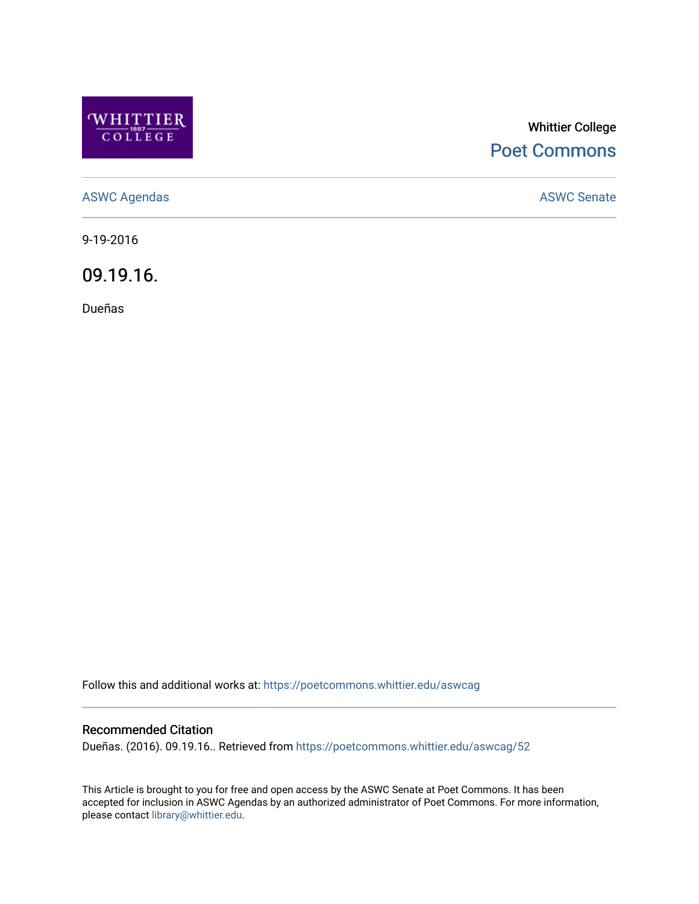

## Whittier College [Poet Commons](https://poetcommons.whittier.edu/)

[ASWC Agendas](https://poetcommons.whittier.edu/aswcag) **ASWC Senate** 

9-19-2016

09.19.16.

Dueñas

Follow this and additional works at: [https://poetcommons.whittier.edu/aswcag](https://poetcommons.whittier.edu/aswcag?utm_source=poetcommons.whittier.edu%2Faswcag%2F52&utm_medium=PDF&utm_campaign=PDFCoverPages) 

## Recommended Citation

Dueñas. (2016). 09.19.16.. Retrieved from [https://poetcommons.whittier.edu/aswcag/52](https://poetcommons.whittier.edu/aswcag/52?utm_source=poetcommons.whittier.edu%2Faswcag%2F52&utm_medium=PDF&utm_campaign=PDFCoverPages) 

This Article is brought to you for free and open access by the ASWC Senate at Poet Commons. It has been accepted for inclusion in ASWC Agendas by an authorized administrator of Poet Commons. For more information, please contact [library@whittier.edu](mailto:library@whittier.edu).